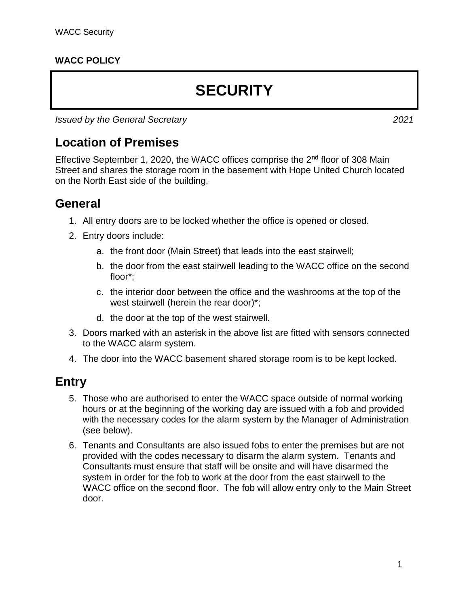### **WACC POLICY**

# **SECURITY**

*Issued by the General Secretary 2021*

## **Location of Premises**

Effective September 1, 2020, the WACC offices comprise the 2nd floor of 308 Main Street and shares the storage room in the basement with Hope United Church located on the North East side of the building.

### **General**

- 1. All entry doors are to be locked whether the office is opened or closed.
- 2. Entry doors include:
	- a. the front door (Main Street) that leads into the east stairwell;
	- b. the door from the east stairwell leading to the WACC office on the second floor\*;
	- c. the interior door between the office and the washrooms at the top of the west stairwell (herein the rear door)\*;
	- d. the door at the top of the west stairwell.
- 3. Doors marked with an asterisk in the above list are fitted with sensors connected to the WACC alarm system.
- 4. The door into the WACC basement shared storage room is to be kept locked.

### **Entry**

- 5. Those who are authorised to enter the WACC space outside of normal working hours or at the beginning of the working day are issued with a fob and provided with the necessary codes for the alarm system by the Manager of Administration (see below).
- 6. Tenants and Consultants are also issued fobs to enter the premises but are not provided with the codes necessary to disarm the alarm system. Tenants and Consultants must ensure that staff will be onsite and will have disarmed the system in order for the fob to work at the door from the east stairwell to the WACC office on the second floor. The fob will allow entry only to the Main Street door.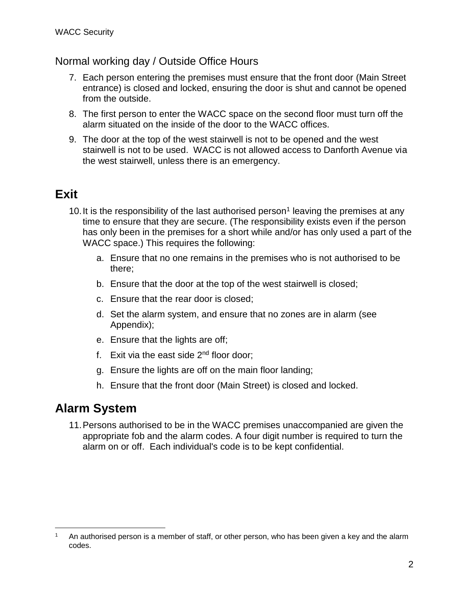### Normal working day / Outside Office Hours

- 7. Each person entering the premises must ensure that the front door (Main Street entrance) is closed and locked, ensuring the door is shut and cannot be opened from the outside.
- 8. The first person to enter the WACC space on the second floor must turn off the alarm situated on the inside of the door to the WACC offices.
- 9. The door at the top of the west stairwell is not to be opened and the west stairwell is not to be used. WACC is not allowed access to Danforth Avenue via the west stairwell, unless there is an emergency.

# **Exit**

- 10. It is the responsibility of the last authorised person<sup>1</sup> leaving the premises at any time to ensure that they are secure. (The responsibility exists even if the person has only been in the premises for a short while and/or has only used a part of the WACC space.) This requires the following:
	- a. Ensure that no one remains in the premises who is not authorised to be there;
	- b. Ensure that the door at the top of the west stairwell is closed;
	- c. Ensure that the rear door is closed;
	- d. Set the alarm system, and ensure that no zones are in alarm (see Appendix);
	- e. Ensure that the lights are off;
	- f. Exit via the east side  $2<sup>nd</sup>$  floor door:
	- g. Ensure the lights are off on the main floor landing;
	- h. Ensure that the front door (Main Street) is closed and locked.

### **Alarm System**

 $\overline{a}$ 

11.Persons authorised to be in the WACC premises unaccompanied are given the appropriate fob and the alarm codes. A four digit number is required to turn the alarm on or off. Each individual's code is to be kept confidential.

An authorised person is a member of staff, or other person, who has been given a key and the alarm codes.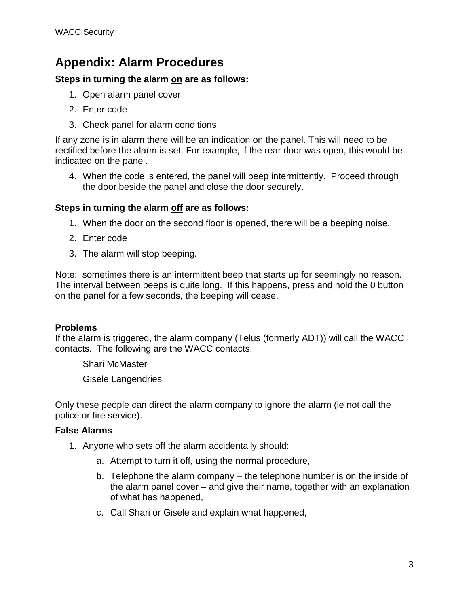# **Appendix: Alarm Procedures**

### **Steps in turning the alarm on are as follows:**

- 1. Open alarm panel cover
- 2. Enter code
- 3. Check panel for alarm conditions

If any zone is in alarm there will be an indication on the panel. This will need to be rectified before the alarm is set. For example, if the rear door was open, this would be indicated on the panel.

4. When the code is entered, the panel will beep intermittently. Proceed through the door beside the panel and close the door securely.

#### **Steps in turning the alarm off are as follows:**

- 1. When the door on the second floor is opened, there will be a beeping noise.
- 2. Enter code
- 3. The alarm will stop beeping.

Note: sometimes there is an intermittent beep that starts up for seemingly no reason. The interval between beeps is quite long. If this happens, press and hold the 0 button on the panel for a few seconds, the beeping will cease.

### **Problems**

If the alarm is triggered, the alarm company (Telus (formerly ADT)) will call the WACC contacts. The following are the WACC contacts:

Shari McMaster

Gisele Langendries

Only these people can direct the alarm company to ignore the alarm (ie not call the police or fire service).

#### **False Alarms**

- 1. Anyone who sets off the alarm accidentally should:
	- a. Attempt to turn it off, using the normal procedure,
	- b. Telephone the alarm company the telephone number is on the inside of the alarm panel cover – and give their name, together with an explanation of what has happened,
	- c. Call Shari or Gisele and explain what happened,